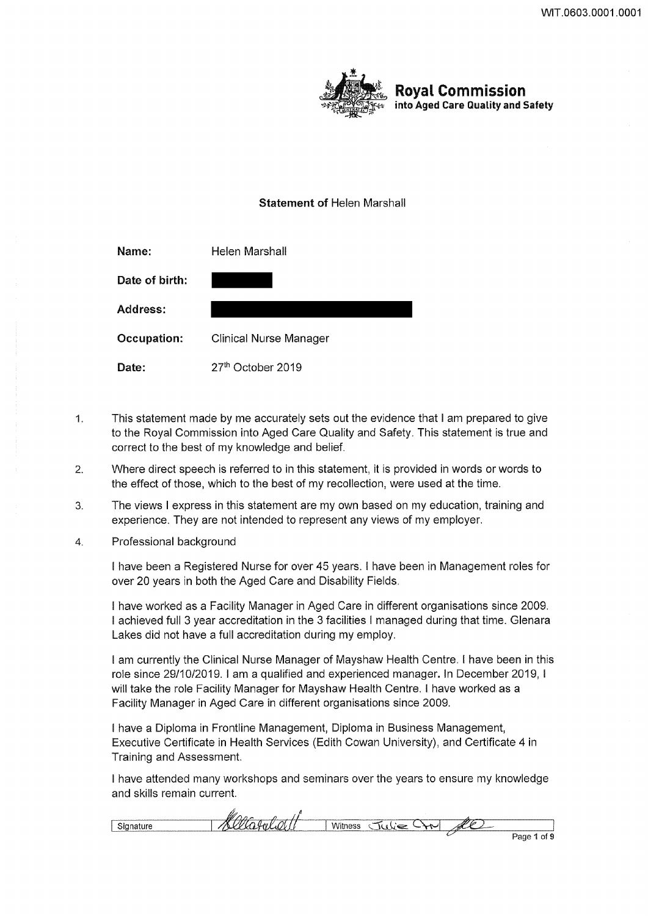

# **Royal Commission**  into Aged Care Quality and Safety

# Statement of Helen Marshall

| Name:           | Helen Marshall                |
|-----------------|-------------------------------|
| Date of birth:  |                               |
| <b>Address:</b> |                               |
| Occupation:     | <b>Clinical Nurse Manager</b> |
| Date:           | 27 <sup>th</sup> October 2019 |

- 1. This statement made by me accurately sets out the evidence that I am prepared to give to the Royal Commission into Aged Care Quality and Safety. This statement is true and correct to the best of my knowledge and belief.
- 2. Where direct speech is referred to in this statement, it is provided in words or words to the effect of those, which to the best of my recollection, were used at the time.
- 3. The views I express in this statement are my own based on my education, training and experience. They are not intended to represent any views of my employer.
- 4. Professional background

I have been a Registered Nurse for over 45 years. I have been in Management roles for over 20 years in both the Aged Care and Disability Fields.

I have worked as a Facility Manager in Aged Care in different organisations since 2009. I achieved full 3 year accreditation in the 3 facilities I managed during that time. Glenara Lakes did not have a full accreditation during my employ.

I am currently the Clinical Nurse Manager of Mayshaw Health Centre. I have been in this role since 29/10/2019. I am a qualified and experienced manager. In December 2019, I will take the role Facility Manager for Mayshaw Health Centre. I have worked as a Facility Manager in Aged Care in different organisations since 2009.

I have a Diploma in Frontline Management, Diploma in Business Management, Executive Certificate in Health Services (Edith Cowan University), and Certificate 4 in Training and Assessment.

I have attended many workshops and seminars over the years to ensure my knowledge and skills remain current.

| w<br>---------                           | ------------<br>. |     |
|------------------------------------------|-------------------|-----|
| ---<br>The company's company's company's |                   | ,,, |
|                                          |                   |     |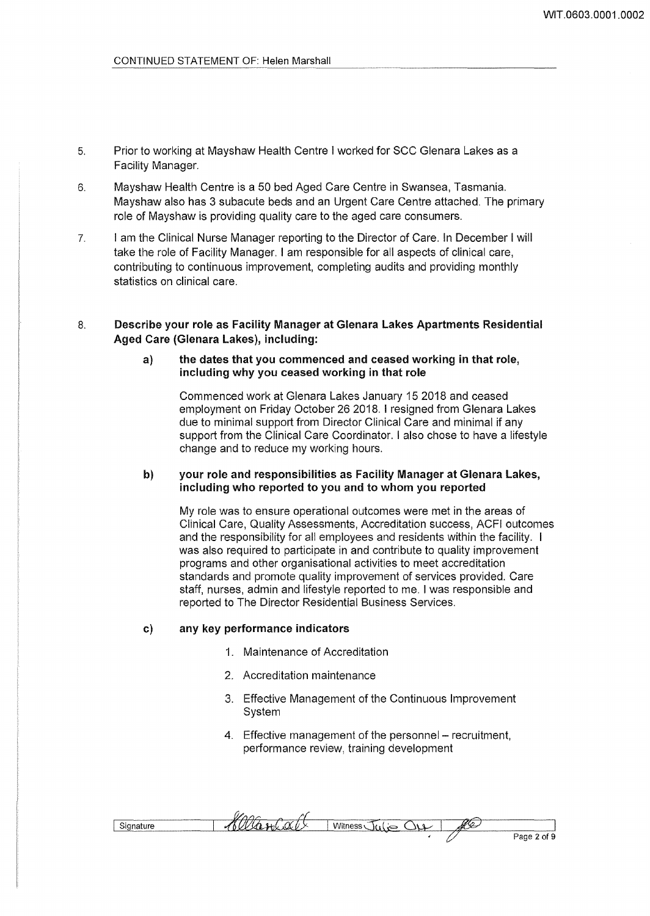- 5. Prior to working at Mayshaw Health Centre I worked for SCC Glenara Lakes as a Facility Manager.
- 6. Mayshaw Health Centre is a 50 bed Aged Care Centre in Swansea, Tasmania. Mayshaw also has 3 subacute beds and an Urgent Care Centre attached. The primary role of Mayshaw is providing quality care to the aged care consumers.
- 7. I am the Clinical Nurse Manager reporting to the Director of Care. In December I will take the role of Facility Manager. I am responsible for all aspects of clinical care, contributing to continuous improvement, completing audits and providing monthly statistics on clinical care.

## 8. Describe your role as Facility Manager at Glenara lakes Apartments Residential Aged Care (Glenara lakes), including:

### a) the dates that you commenced and ceased working in that role, including why you ceased working in that role

Commenced work at Glenara Lakes January 15 2018 and ceased employment on Friday October 26 2018. I resigned from Glenara Lakes due to minimal support from Director Clinical Care and minimal if any support from the Clinical Care Coordinator. I also chose to have a lifestyle change and to reduce my working hours.

### b) vour role and responsibilities as Facility Manager at Glenara Lakes, including who reported to you and to whom you reported

My role was to ensure operational outcomes were met in the areas of Clinical Care, Quality Assessments, Accreditation success, ACFI outcomes and the responsibility for all employees and residents within the facility. I was also required to participate in and contribute to quality improvement programs and other organisational activities to meet accreditation standards and promote quality improvement of services provided. Care staff, nurses, admin and lifestyle reported to me. I was responsible and reported to The Director Residential Business Services.

#### c) any key performance indicators

- 1. Maintenance of Accreditation
- 2. Accreditation maintenance
- 3. Effective Management of the Continuous Improvement System
- 4. Effective management of the personnel recruitment, performance review, training development

| $-$ | $\sim$<br>.<br>. . | A<br>------<br>------- | u |                       |
|-----|--------------------|------------------------|---|-----------------------|
|     |                    |                        |   | of 9<br>Pana :<br>ayo |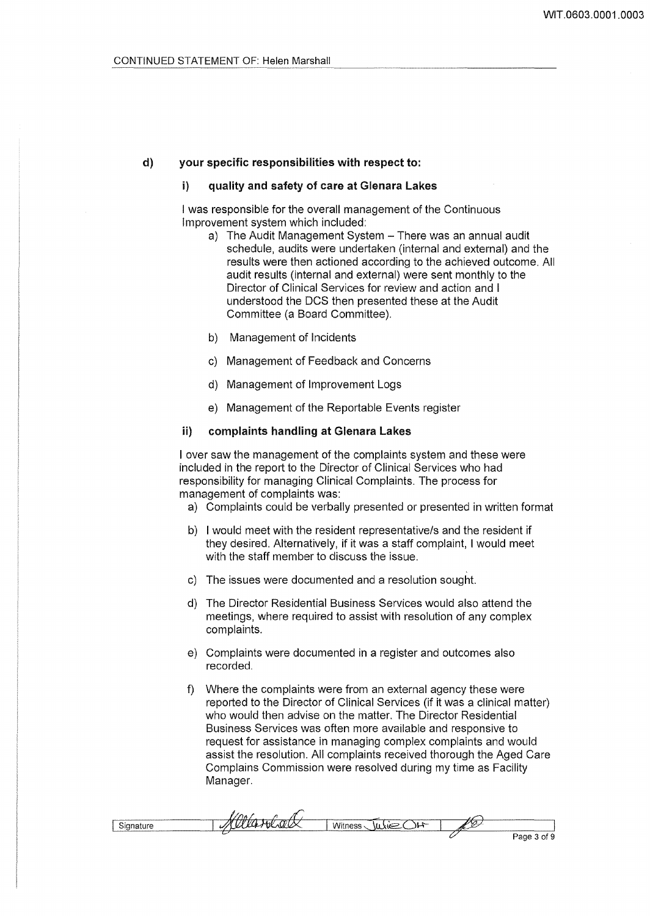#### d) your specific responsibilities with respect to:

#### i) quality and safety of care at Glenara Lakes

I was responsible for the overall management of the Continuous Improvement system which included:

- a) The Audit Management System There was an annual audit schedule, audits were undertaken (internal and external) and the results were then actioned according to the achieved outcome. All audit results (internal and external) were sent monthly to the Director of Clinical Services for review and action and I understood the DCS then presented these at the Audit Committee (a Board Committee).
- b) Management of Incidents
- c) Management of Feedback and Concerns
- d) Management of Improvement Logs
- e) Management of the Reportable Events register

#### ii) complaints handling at Glenara lakes

I over saw the management of the complaints system and these were included in the report to the Director of Clinical Services who had responsibility for managing Clinical Complaints. The process for management of complaints was:

- a) Complaints could be verbally presented or presented in written format
- b) I would meet with the resident representative/s and the resident if they desired. Alternatively, if it was a staff complaint, I would meet with the staff member to discuss the issue.
- c) The issues were documented and a resolution sought.
- d) The Director Residential Business Services would also attend the meetings, where required to assist with resolution of any complex complaints.
- e) Complaints were documented in a register and outcomes also recorded.
- f) Where the complaints were from an external agency these were reported to the Director of Clinical Services (if it was a clinical matter) who would then advise on the matter. The Director Residential Business Services was often more available and responsive to request for assistance in managing complex complaints and would assist the resolution. All complaints received thorough the Aged Care Complains Commission were resolved during my time as Facility Manager.

| have a comparable comment of the comment of the comment and commentary comments are assumed to |                                                                                                                                                                                                               |        |                                                          |
|------------------------------------------------------------------------------------------------|---------------------------------------------------------------------------------------------------------------------------------------------------------------------------------------------------------------|--------|----------------------------------------------------------|
| $\overline{M}$<br>$\tilde{\phantom{a}}$                                                        | <b>The company's contract to the company's construction of the company's company's company's company's company's</b><br>$\sim$ $\sim$<br>$\sim$<br>ъ.<br><b>PERMIT AND COMPANY OF A REAL PROPERTY</b><br>____ | $\sim$ | www.common.com/2010.html http://www.common.com/2010.html |
|                                                                                                |                                                                                                                                                                                                               |        | of 9<br>Page                                             |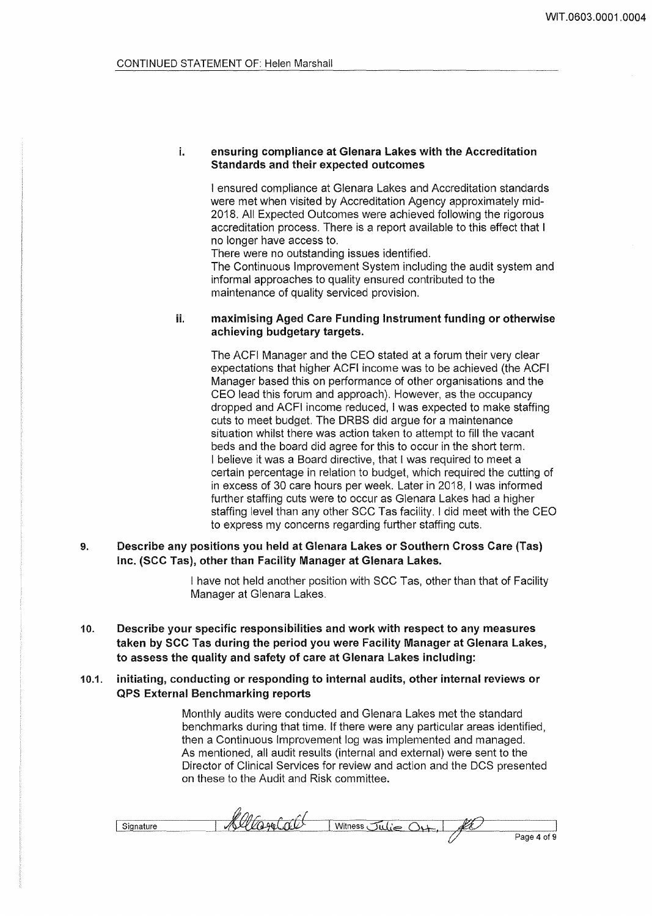i. ensuring compliance at Glenara Lakes with the Accreditation Standards and their expected outcomes

I ensured compliance at Glenara Lakes and Accreditation standards were met when visited by Accreditation Agency approximately mid-2018. All Expected Outcomes were achieved following the rigorous accreditation process. There is a report available to this effect that I no longer have access to.

There were no outstanding issues identified.

The Continuous Improvement System including the audit system and informal approaches to quality ensured contributed to the maintenance of quality serviced provision.

#### ii. maximising Aged Care Funding Instrument funding or otherwise achieving budgetary targets.

The ACFI Manager and the CEO stated at a forum their very clear expectations that higher ACFI income was to be achieved (the ACFI Manager based this on performance of other organisations and the CEO lead this forum and approach). However, as the occupancy dropped and ACFI income reduced, I was expected to make staffing cuts to meet budget. The ORBS did argue for a maintenance situation whilst there was action taken to attempt to fill the vacant beds and the board did agree for this to occur in the short term. I believe it was a Board directive, that I was required to meet a certain percentage in relation to budget, which required the cutting of in excess of 30 care hours per week. Later in 2018, I was informed further staffing cuts were to occur as Glenara Lakes had a higher staffing level than any other SCC Tas facility. I did meet with the CEO to express my concerns regarding further staffing cuts.

9. Describe any positions you held at Glenara Lakes or Southern Cross Care (Tas) Inc. (SCC Tas), other than Facility Manager at Glenara Lakes.

> I have not held another position with SCC Tas, other than that of Facility Manager at Glenara Lakes.

10. Describe your specific responsibilities and work with respect to any measures taken by SCC Tas during the period you were Facility Manager at Glenara Lakes, to assess the quality and safety of care at Glenara Lakes including:

### 10.1. initiating, conducting or responding to internal audits, other internal reviews or QPS External Benchmarking reports

Monthly audits were conducted and Glenara Lakes met the standard benchmarks during that time. If there were any particular areas identified, then a Continuous Improvement log was implemented and managed. As mentioned, all audit results (internal and external) were sent to the Director of Clinical Services for review and action and the DCS presented on these to the Audit and Risk committee.

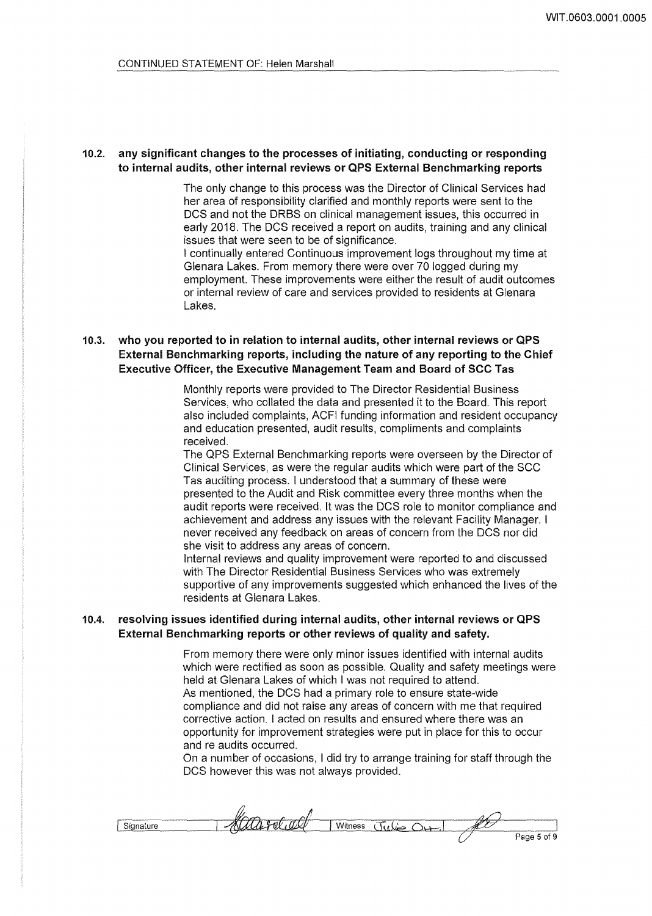## 10.2. any significant changes to the processes of initiating, conducting or responding to internal audits, other internal reviews or QPS External Benchmarking reports

The only change to this process was the Director of Clinical Services had her area of responsibility clarified and monthly reports were sent to the DCS and not the ORBS on clinical management issues, this occurred in early 2018. The DCS received a report on audits, training and any clinical issues that were seen to be of significance.

I continually entered Continuous improvement logs throughout my time at Glenara Lakes. From memory there were over 70 logged during my employment. These improvements were either the result of audit outcomes or internal review of care and services provided to residents at Glenara Lakes.

# 10.3. who you reported to in relation to internal audits, other internal reviews or QPS External Benchmarking reports, including the nature of any reporting to the Chief Executive Officer, the Executive Management Team and Board of SCC Tas

Monthly reports were provided to The Director Residential Business Services, who collated the data and presented it to the Board. This report also included complaints, ACFI funding information and resident occupancy and education presented, audit results, compliments and complaints received.

The OPS External Benchmarking reports were overseen by the Director of Clinical Services, as were the regular audits which were part of the SCC Tas auditing process. I understood that a summary of these were presented to the Audit and Risk committee every three months when the audit reports were received. It was the DCS role to monitor compliance and achievement and address any issues with the relevant Facility Manager. I never received any feedback on areas of concern from the DCS nor did she visit to address any areas of concern.

Internal reviews and quality improvement were reported to and discussed with The Director Residential Business Services who was extremely supportive of any improvements suggested which enhanced the lives of the residents at Glenara Lakes.

### 10.4. resolving issues identified during internal audits, other internal reviews or QPS External Benchmarking reports or other reviews of quality and safety.

From memory there were only minor issues identified with internal audits which were rectified as soon as possible. Quality and safety meetings were held at Glenara Lakes of which I was not required to attend. As mentioned, the DCS had a primary role to ensure state-wide compliance and did not raise any areas of concern with me that required corrective action. I acted on results and ensured where there was an opportunity for improvement strategies were put in place for this to occur and re audits occurred.

On a number of occasions, I did try to arrange training for staff through the DCS however this was not always provided.

| --------------------       | _____________                                                  | <b>The component of the component of the component of the component of the component of the component of the component of the component of the component of the component of the component of the component of the component of </b> |      |                         |
|----------------------------|----------------------------------------------------------------|--------------------------------------------------------------------------------------------------------------------------------------------------------------------------------------------------------------------------------------|------|-------------------------|
| <b>Business Contractor</b> | $-20.1$<br>. ರರ್ತ<br>the company of the company of the company |                                                                                                                                                                                                                                      | rtal |                         |
|                            |                                                                |                                                                                                                                                                                                                                      |      | $^{\circ}$ age 5 of 9 . |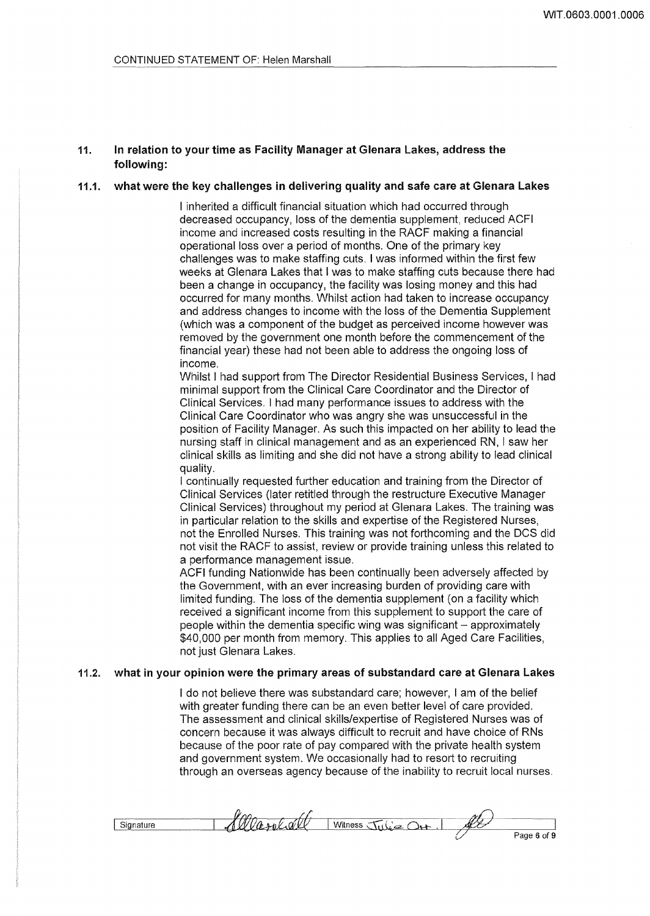## 11. In relation to your time as Facility Manager at Glenara Lakes, address the following:

## 11.1. what were the key challenges in delivering quality and safe care at Glenara Lakes

I inherited a difficult financial situation which had occurred through decreased occupancy, loss of the dementia supplement, reduced ACFI income and increased costs resulting in the RACF making a financial operational loss over a period of months. One of the primary key challenges was to make staffing cuts. I was informed within the first few weeks at Glenara Lakes that I was to make staffing cuts because there had been a change in occupancy, the facility was losing money and this had occurred for many months. Whilst action had taken to increase occupancy and address changes to income with the loss of the Dementia Supplement (which was a component of the budget as perceived income however was removed by the government one month before the commencement of the financial year) these had not been able to address the ongoing loss of income.

Whilst I had support from The Director Residential Business Services, I had minimal support from the Clinical Care Coordinator and the Director of Clinical Services. I had many performance issues to address with the Clinical Care Coordinator who was angry she was unsuccessful in the position of Facility Manager. As such this impacted on her ability to lead the nursing staff in clinical management and as an experienced RN, I saw her clinical skills as limiting and she did not have a strong ability to lead clinical quality.

I continually requested further education and training from the Director of Clinical Services (later retitled through the restructure Executive Manager Clinical Services) throughout my period at Glenara Lakes. The training was in particular relation to the skills and expertise of the Registered Nurses, not the Enrolled Nurses. This training was not forthcoming and the DCS did not visit the RACF to assist, review or provide training unless this related to a performance management issue.

ACFI funding Nationwide has been continually been adversely affected by the Government, with an ever increasing burden of providing care with limited funding. The loss of the dementia supplement (on a facility which received a significant income from this supplement to support the care of people within the dementia specific wing was significant - approximately \$40,000 per month from memory. This applies to all Aged Care Facilities, not just Glenara Lakes.

## 11.2. what in your opinion were the primary areas of substandard care at Glenara Lakes

I do not believe there was substandard care; however, I am of the belief with greater funding there can be an even better level of care provided. The assessment and clinical skills/expertise of Registered Nurses was of concern because it was always difficult to recruit and have choice of RNs because of the poor rate of pay compared with the private health system and government system. We occasionally had to resort to recruiting through an overseas agency because of the inability to recruit local nurses.

|        | $\sim$<br>the contract of the company of the contract of the contract of the contract of the contract of the contract of |         | าง<br>                       |             |
|--------|--------------------------------------------------------------------------------------------------------------------------|---------|------------------------------|-------------|
| ______ | N,<br>n                                                                                                                  | Witness | sv<br>$\cdot$<br>$rac{1}{2}$ |             |
|        |                                                                                                                          |         |                              | Page 6 of 9 |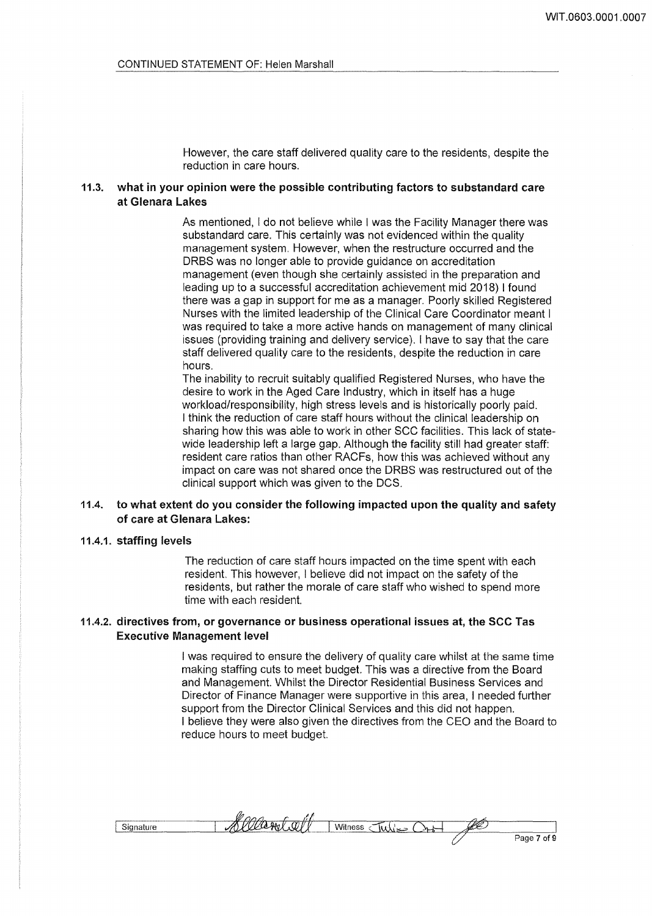However, the care staff delivered quality care to the residents, despite the reduction in care hours.

## 11.3. what in your opinion were the possible contributing factors to substandard care at Glenara lakes

As mentioned, I do not believe while I was the Facility Manager there was substandard care. This certainly was not evidenced within the quality management system. However, when the restructure occurred and the ORBS was no longer able to provide guidance on accreditation management (even though she certainly assisted in the preparation and leading up to a successful accreditation achievement mid 2018) I found there was a gap in support for me as a manager. Poorly skilled Registered Nurses with the limited leadership of the Clinical Care Coordinator meant I was required to take a more active hands on management of many clinical issues (providing training and delivery service). I have to say that the care staff delivered quality care to the residents, despite the reduction in care hours.

The inability to recruit suitably qualified Registered Nurses, who have the desire to work in the Aged Care Industry, which in itself has a huge workload/responsibility, high stress levels and is historically poorly paid. I think the reduction of care staff hours without the clinical leadership on sharing how this was able to work in other SCC facilities. This lack of statewide leadership left a large gap. Although the facility still had greater staff: resident care ratios than other RACFs, how this was achieved without any impact on care was not shared once the ORBS was restructured out of the clinical support which was given to the DCS.

## 11.4. to what extent do you consider the following impacted upon the quality and safety of care at Glenara lakes:

#### 11.4.1. staffing levels

The reduction of care staff hours impacted on the time spent with each resident. This however, I believe did not impact on the safety of the residents, but rather the morale of care staff who wished to spend more time with each resident.

#### 11.4.2. directives from, or governance or business operational issues at, the SCC Tas Executive Management level

I was required to ensure the delivery of quality care whilst at the same time making staffing cuts to meet budget. This was a directive from the Board and Management. Whilst the Director Residential Business Services and Director of Finance Manager were supportive in this area, I needed further support from the Director Clinical Services and this did not happen. I believe they were also given the directives from the CEO and the Board to reduce hours to meet budget.

| Page<br>ot<br>. . |
|-------------------|
|                   |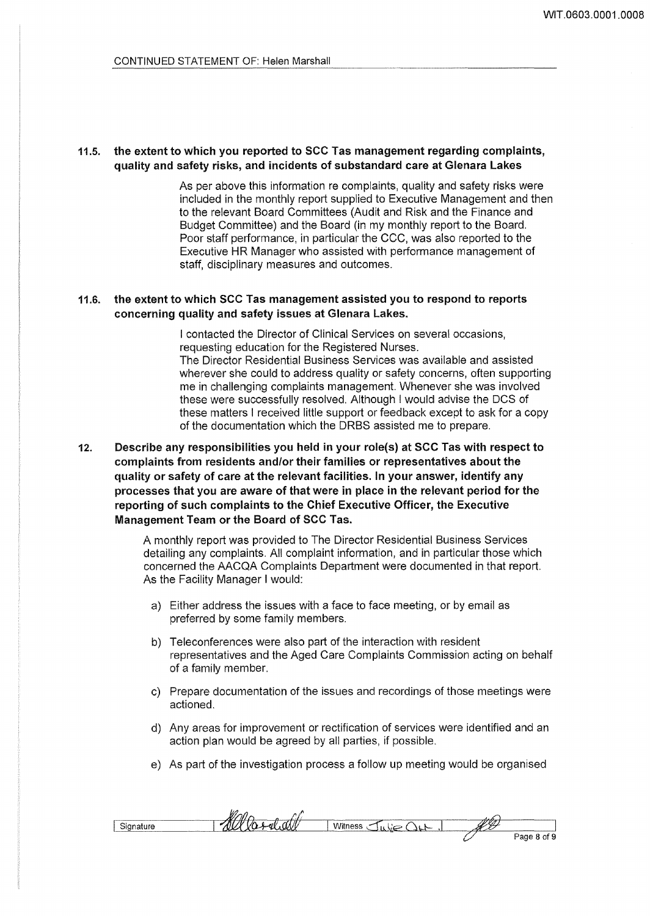## 11.5. the extent to which you reported to SCC Tas management regarding complaints, quality and safety risks, and incidents of substandard care at Glenara lakes

As per above this information re complaints, quality and safety risks were included in the monthly report supplied to Executive Management and then to the relevant Board Committees (Audit and Risk and the Finance and Budget Committee) and the Board (in my monthly report to the Board. Poor staff performance, in particular the CCC, was also reported to the Executive HR Manager who assisted with performance management of staff, disciplinary measures and outcomes.

## 11.6. the extent to which SCC Tas management assisted you to respond to reports concerning quality and safety issues at Glenara Lakes.

I contacted the Director of Clinical Services on several occasions, requesting education for the Registered Nurses. The Director Residential Business Services was available and assisted wherever she could to address quality or safety concerns, often supporting me in challenging complaints management. Whenever she was involved these were successfully resolved. Although I would advise the DCS of these matters I received little support or feedback except to ask for a copy of the documentation which the DRBS assisted me to prepare.

12. Describe any responsibilities you held in your role(s} at SCC Tas with respect to complaints from residents and/or their families or representatives about the quality or safety of care at the relevant facilities. In your answer, identify any processes that you are aware of that were in place in the relevant period for the reporting of such complaints to the Chief Executive Officer, the Executive Management Team or the Board of SCC Tas.

> A monthly report was provided to The Director Residential Business Services detailing any complaints. All complaint information, and in particular those which concerned the AACQA Complaints Department were documented in that report. As the Facility Manager I would:

- a) Either address the issues with a face to face meeting, or by email as preferred by some family members.
- b) Teleconferences were also part of the interaction with resident representatives and the Aged Care Complaints Commission acting on behalf of a family member.
- c) Prepare documentation of the issues and recordings of those meetings were actioned.
- d) Any areas for improvement or rectification of services were identified and an action plan would be agreed by all parties, if possible.
- e) As part of the investigation process a follow up meeting would be organised

|                                                    | w               | _____________ | .                                            | _________________________ |
|----------------------------------------------------|-----------------|---------------|----------------------------------------------|---------------------------|
| Sion.<br>1.117<br><b><i><u>Accountment</u></i></b> | л<br>---------- | ۰۸ س<br>ness  | 77 17 A<br>.,<br><b>The Common</b><br>$\sim$ |                           |
|                                                    |                 | T             |                                              | Page 8 of 9               |